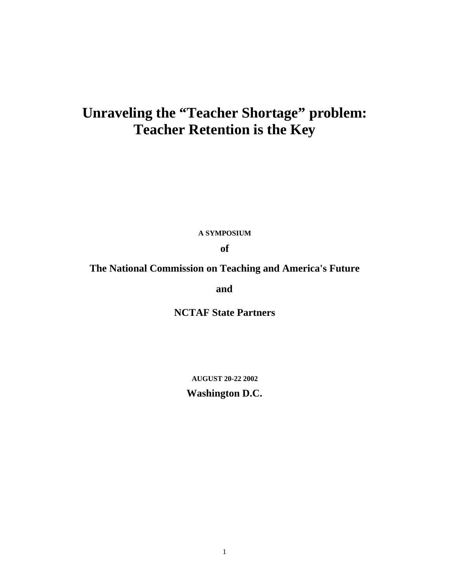# **Unraveling the "Teacher Shortage" problem: Teacher Retention is the Key**

**A SYMPOSIUM**

**of**

## **The National Commission on Teaching and America's Future**

**and**

**NCTAF State Partners**

**AUGUST 20-22 2002**

**Washington D.C.**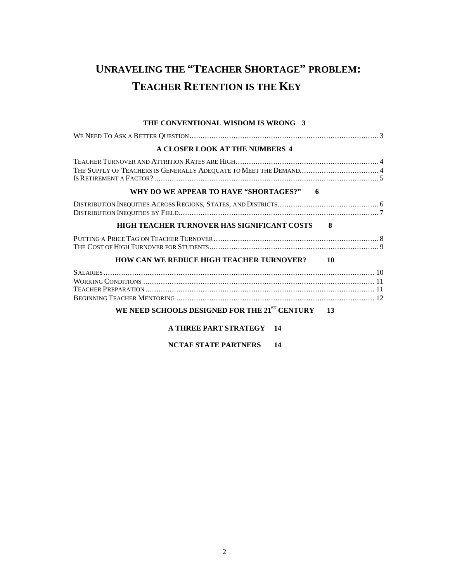# **UNRAVELING THE "TEACHER SHORTAGE" PROBLEM: TEACHER RETENTION IS THE KEY**

#### **THE CONVENTIONAL WISDOM IS WRONG 3**

| A CLOSER LOOK AT THE NUMBERS 4                                    |
|-------------------------------------------------------------------|
| THE SUPPLY OF TEACHERS IS GENERALLY ADEQUATE TO MEET THE DEMAND 4 |
| WHY DO WE APPEAR TO HAVE "SHORTAGES?"<br>6                        |
|                                                                   |
| HIGH TEACHER TURNOVER HAS SIGNIFICANT COSTS<br>-8                 |
|                                                                   |
| <b>HOW CAN WE REDUCE HIGH TEACHER TURNOVER?</b><br>-10            |
|                                                                   |
| WE NEED SCHOOLS DESIGNED FOR THE $21^{ST}$ CENTURY 13             |
| <b>A THREE PART STRATEGY 14</b>                                   |
| NCTAF STATE PARTNERS<br>14                                        |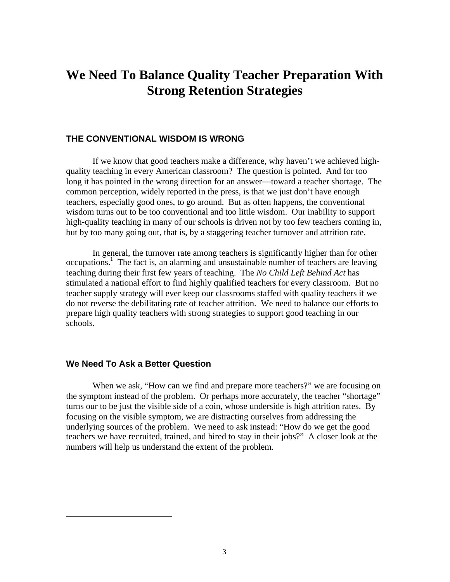# **We Need To Balance Quality Teacher Preparation With Strong Retention Strategies**

#### **THE CONVENTIONAL WISDOM IS WRONG**

If we know that good teachers make a difference, why haven't we achieved highquality teaching in every American classroom? The question is pointed. And for too long it has pointed in the wrong direction for an answer—toward a teacher shortage. The common perception, widely reported in the press, is that we just don't have enough teachers, especially good ones, to go around. But as often happens, the conventional wisdom turns out to be too conventional and too little wisdom. Our inability to support high-quality teaching in many of our schools is driven not by too few teachers coming in, but by too many going out, that is, by a staggering teacher turnover and attrition rate.

In general, the turnover rate among teachers is significantly higher than for other occupations.<sup>1</sup> The fact is, an alarming and unsustainable number of teachers are leaving teaching during their first few years of teaching. The *No Child Left Behind Act* has stimulated a national effort to find highly qualified teachers for every classroom. But no teacher supply strategy will ever keep our classrooms staffed with quality teachers if we do not reverse the debilitating rate of teacher attrition. We need to balance our efforts to prepare high quality teachers with strong strategies to support good teaching in our schools.

#### **We Need To Ask a Better Question**

1

When we ask, "How can we find and prepare more teachers?" we are focusing on the symptom instead of the problem. Or perhaps more accurately, the teacher "shortage" turns our to be just the visible side of a coin, whose underside is high attrition rates. By focusing on the visible symptom, we are distracting ourselves from addressing the underlying sources of the problem. We need to ask instead: "How do we get the good teachers we have recruited, trained, and hired to stay in their jobs?" A closer look at the numbers will help us understand the extent of the problem.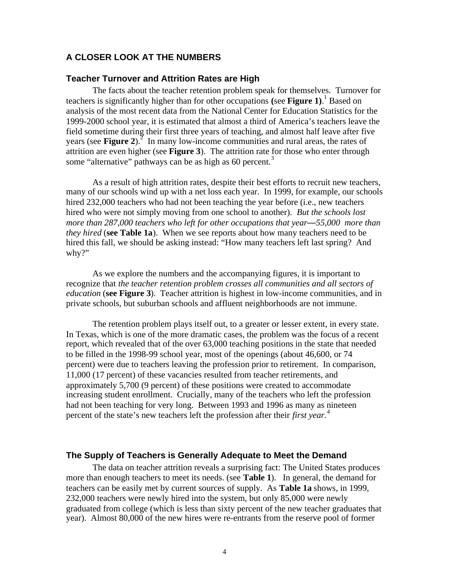#### **A CLOSER LOOK AT THE NUMBERS**

#### **Teacher Turnover and Attrition Rates are High**

The facts about the teacher retention problem speak for themselves. Turnover for teachers is significantly higher than for other occupations **(**see **Figure 1)**. 1 Based on analysis of the most recent data from the National Center for Education Statistics for the 1999-2000 school year, it is estimated that almost a third of America's teachers leave the field sometime during their first three years of teaching, and almost half leave after five years (see **Figure 2**).<sup>2</sup> In many low-income communities and rural areas, the rates of attrition are even higher (see **Figure 3**). The attrition rate for those who enter through some "alternative" pathways can be as high as 60 percent. $3$ 

As a result of high attrition rates, despite their best efforts to recruit new teachers, many of our schools wind up with a net loss each year. In 1999, for example, our schools hired 232,000 teachers who had not been teaching the year before (i.e., new teachers hired who were not simply moving from one school to another). *But the schools lost more than 287,000 teachers who left for other occupations that year*—*55,000 more than they hired* (**see Table 1a**). When we see reports about how many teachers need to be hired this fall, we should be asking instead: "How many teachers left last spring? And why?"

As we explore the numbers and the accompanying figures, it is important to recognize that *the teacher retention problem crosses all communities and all sectors of education* (**see Figure 3**). Teacher attrition is highest in low-income communities, and in private schools, but suburban schools and affluent neighborhoods are not immune.

The retention problem plays itself out, to a greater or lesser extent, in every state. In Texas, which is one of the more dramatic cases, the problem was the focus of a recent report, which revealed that of the over 63,000 teaching positions in the state that needed to be filled in the 1998-99 school year, most of the openings (about 46,600, or 74 percent) were due to teachers leaving the profession prior to retirement. In comparison, 11,000 (17 percent) of these vacancies resulted from teacher retirements, and approximately 5,700 (9 percent) of these positions were created to accommodate increasing student enrollment. Crucially, many of the teachers who left the profession had not been teaching for very long. Between 1993 and 1996 as many as nineteen percent of the state's new teachers left the profession after their *first year.<sup>4</sup>*

#### **The Supply of Teachers is Generally Adequate to Meet the Demand**

The data on teacher attrition reveals a surprising fact: The United States produces more than enough teachers to meet its needs. (see **Table 1**). In general, the demand for teachers can be easily met by current sources of supply. As **Table 1a** shows, in 1999, 232,000 teachers were newly hired into the system, but only 85,000 were newly graduated from college (which is less than sixty percent of the new teacher graduates that year). Almost 80,000 of the new hires were re-entrants from the reserve pool of former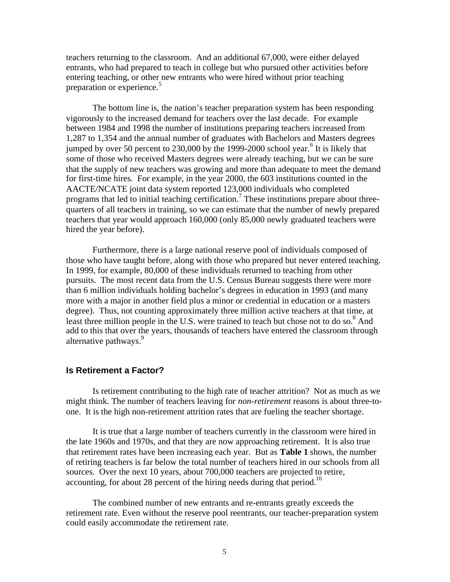teachers returning to the classroom. And an additional 67,000, were either delayed entrants, who had prepared to teach in college but who pursued other activities before entering teaching, or other new entrants who were hired without prior teaching preparation or experience.<sup>5</sup>

The bottom line is, the nation's teacher preparation system has been responding vigorously to the increased demand for teachers over the last decade. For example between 1984 and 1998 the number of institutions preparing teachers increased from 1,287 to 1,354 and the annual number of graduates with Bachelors and Masters degrees jumped by over 50 percent to 230,000 by the 1999-2000 school year.<sup>6</sup> It is likely that some of those who received Masters degrees were already teaching, but we can be sure that the supply of new teachers was growing and more than adequate to meet the demand for first-time hires. For example, in the year 2000, the 603 institutions counted in the AACTE/NCATE joint data system reported 123,000 individuals who completed programs that led to initial teaching certification.<sup>7</sup> These institutions prepare about threequarters of all teachers in training, so we can estimate that the number of newly prepared teachers that year would approach 160,000 (only 85,000 newly graduated teachers were hired the year before).

Furthermore, there is a large national reserve pool of individuals composed of those who have taught before, along with those who prepared but never entered teaching. In 1999, for example, 80,000 of these individuals returned to teaching from other pursuits. The most recent data from the U.S. Census Bureau suggests there were more than 6 million individuals holding bachelor's degrees in education in 1993 (and many more with a major in another field plus a minor or credential in education or a masters degree). Thus, not counting approximately three million active teachers at that time, at least three million people in the U.S. were trained to teach but chose not to do so.<sup>8</sup> And add to this that over the years, thousands of teachers have entered the classroom through alternative pathways.<sup>9</sup>

#### **Is Retirement a Factor?**

Is retirement contributing to the high rate of teacher attrition? Not as much as we might think. The number of teachers leaving for *non-retirement* reasons is about three-toone. It is the high non-retirement attrition rates that are fueling the teacher shortage.

It is true that a large number of teachers currently in the classroom were hired in the late 1960s and 1970s, and that they are now approaching retirement. It is also true that retirement rates have been increasing each year. But as **Table 1** shows, the number of retiring teachers is far below the total number of teachers hired in our schools from all sources. Over the next 10 years, about 700,000 teachers are projected to retire, accounting, for about 28 percent of the hiring needs during that period.<sup>10</sup>

The combined number of new entrants and re-entrants greatly exceeds the retirement rate. Even without the reserve pool reentrants, our teacher-preparation system could easily accommodate the retirement rate.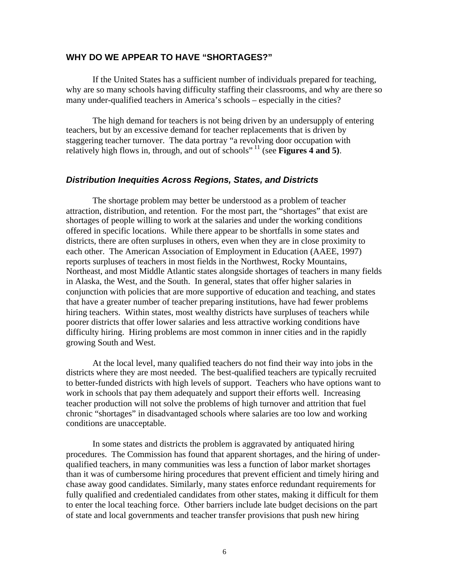#### **WHY DO WE APPEAR TO HAVE "SHORTAGES?"**

If the United States has a sufficient number of individuals prepared for teaching, why are so many schools having difficulty staffing their classrooms, and why are there so many under-qualified teachers in America's schools – especially in the cities?

The high demand for teachers is not being driven by an undersupply of entering teachers, but by an excessive demand for teacher replacements that is driven by staggering teacher turnover. The data portray "a revolving door occupation with relatively high flows in, through, and out of schools"<sup>11</sup> (see **Figures 4 and 5**).

#### **Distribution Inequities Across Regions, States, and Districts**

The shortage problem may better be understood as a problem of teacher attraction, distribution, and retention. For the most part, the "shortages" that exist are shortages of people willing to work at the salaries and under the working conditions offered in specific locations. While there appear to be shortfalls in some states and districts, there are often surpluses in others, even when they are in close proximity to each other. The American Association of Employment in Education (AAEE, 1997) reports surpluses of teachers in most fields in the Northwest, Rocky Mountains, Northeast, and most Middle Atlantic states alongside shortages of teachers in many fields in Alaska, the West, and the South. In general, states that offer higher salaries in conjunction with policies that are more supportive of education and teaching, and states that have a greater number of teacher preparing institutions, have had fewer problems hiring teachers. Within states, most wealthy districts have surpluses of teachers while poorer districts that offer lower salaries and less attractive working conditions have difficulty hiring. Hiring problems are most common in inner cities and in the rapidly growing South and West.

At the local level, many qualified teachers do not find their way into jobs in the districts where they are most needed. The best-qualified teachers are typically recruited to better-funded districts with high levels of support. Teachers who have options want to work in schools that pay them adequately and support their efforts well. Increasing teacher production will not solve the problems of high turnover and attrition that fuel chronic "shortages" in disadvantaged schools where salaries are too low and working conditions are unacceptable.

In some states and districts the problem is aggravated by antiquated hiring procedures. The Commission has found that apparent shortages, and the hiring of underqualified teachers, in many communities was less a function of labor market shortages than it was of cumbersome hiring procedures that prevent efficient and timely hiring and chase away good candidates. Similarly, many states enforce redundant requirements for fully qualified and credentialed candidates from other states, making it difficult for them to enter the local teaching force. Other barriers include late budget decisions on the part of state and local governments and teacher transfer provisions that push new hiring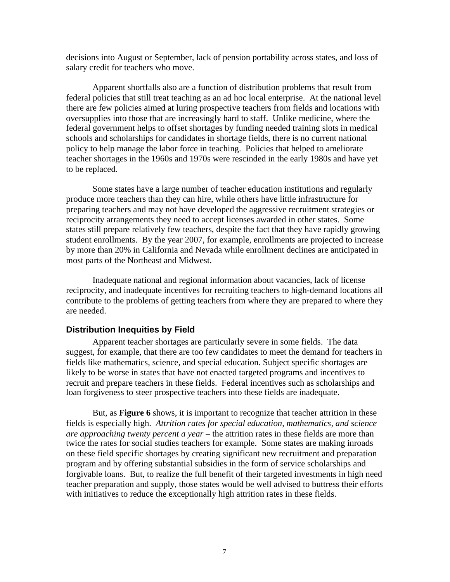decisions into August or September, lack of pension portability across states, and loss of salary credit for teachers who move.

Apparent shortfalls also are a function of distribution problems that result from federal policies that still treat teaching as an ad hoc local enterprise. At the national level there are few policies aimed at luring prospective teachers from fields and locations with oversupplies into those that are increasingly hard to staff. Unlike medicine, where the federal government helps to offset shortages by funding needed training slots in medical schools and scholarships for candidates in shortage fields, there is no current national policy to help manage the labor force in teaching. Policies that helped to ameliorate teacher shortages in the 1960s and 1970s were rescinded in the early 1980s and have yet to be replaced.

Some states have a large number of teacher education institutions and regularly produce more teachers than they can hire, while others have little infrastructure for preparing teachers and may not have developed the aggressive recruitment strategies or reciprocity arrangements they need to accept licenses awarded in other states. Some states still prepare relatively few teachers, despite the fact that they have rapidly growing student enrollments. By the year 2007, for example, enrollments are projected to increase by more than 20% in California and Nevada while enrollment declines are anticipated in most parts of the Northeast and Midwest.

Inadequate national and regional information about vacancies, lack of license reciprocity, and inadequate incentives for recruiting teachers to high-demand locations all contribute to the problems of getting teachers from where they are prepared to where they are needed.

#### **Distribution Inequities by Field**

Apparent teacher shortages are particularly severe in some fields. The data suggest, for example, that there are too few candidates to meet the demand for teachers in fields like mathematics, science, and special education. Subject specific shortages are likely to be worse in states that have not enacted targeted programs and incentives to recruit and prepare teachers in these fields. Federal incentives such as scholarships and loan forgiveness to steer prospective teachers into these fields are inadequate.

But, as **Figure 6** shows, it is important to recognize that teacher attrition in these fields is especially high. *Attrition rates for special education, mathematics, and science are approaching twenty percent a year* – the attrition rates in these fields are more than twice the rates for social studies teachers for example*.* Some states are making inroads on these field specific shortages by creating significant new recruitment and preparation program and by offering substantial subsidies in the form of service scholarships and forgivable loans. But, to realize the full benefit of their targeted investments in high need teacher preparation and supply, those states would be well advised to buttress their efforts with initiatives to reduce the exceptionally high attrition rates in these fields.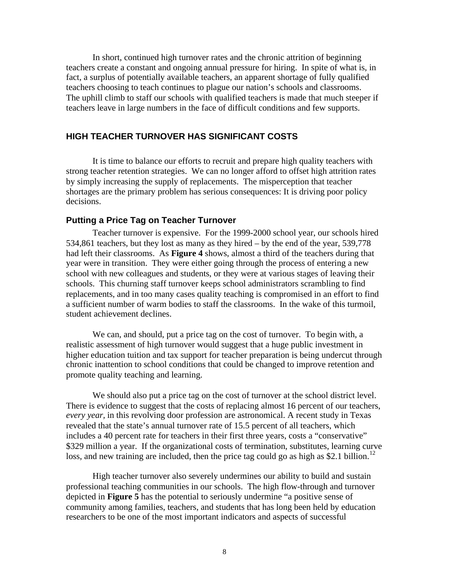In short, continued high turnover rates and the chronic attrition of beginning teachers create a constant and ongoing annual pressure for hiring. In spite of what is, in fact, a surplus of potentially available teachers, an apparent shortage of fully qualified teachers choosing to teach continues to plague our nation's schools and classrooms. The uphill climb to staff our schools with qualified teachers is made that much steeper if teachers leave in large numbers in the face of difficult conditions and few supports.

#### **HIGH TEACHER TURNOVER HAS SIGNIFICANT COSTS**

It is time to balance our efforts to recruit and prepare high quality teachers with strong teacher retention strategies. We can no longer afford to offset high attrition rates by simply increasing the supply of replacements. The misperception that teacher shortages are the primary problem has serious consequences: It is driving poor policy decisions.

#### **Putting a Price Tag on Teacher Turnover**

Teacher turnover is expensive. For the 1999-2000 school year, our schools hired 534,861 teachers, but they lost as many as they hired – by the end of the year, 539,778 had left their classrooms. As **Figure 4** shows, almost a third of the teachers during that year were in transition. They were either going through the process of entering a new school with new colleagues and students, or they were at various stages of leaving their schools. This churning staff turnover keeps school administrators scrambling to find replacements, and in too many cases quality teaching is compromised in an effort to find a sufficient number of warm bodies to staff the classrooms. In the wake of this turmoil, student achievement declines.

We can, and should, put a price tag on the cost of turnover. To begin with, a realistic assessment of high turnover would suggest that a huge public investment in higher education tuition and tax support for teacher preparation is being undercut through chronic inattention to school conditions that could be changed to improve retention and promote quality teaching and learning.

We should also put a price tag on the cost of turnover at the school district level. There is evidence to suggest that the costs of replacing almost 16 percent of our teachers, *every year,* in this revolving door profession are astronomical. A recent study in Texas revealed that the state's annual turnover rate of 15.5 percent of all teachers, which includes a 40 percent rate for teachers in their first three years, costs a "conservative" \$329 million a year. If the organizational costs of termination, substitutes, learning curve loss, and new training are included, then the price tag could go as high as \$2.1 billion.<sup>12</sup>

High teacher turnover also severely undermines our ability to build and sustain professional teaching communities in our schools. The high flow-through and turnover depicted in **Figure 5** has the potential to seriously undermine "a positive sense of community among families, teachers, and students that has long been held by education researchers to be one of the most important indicators and aspects of successful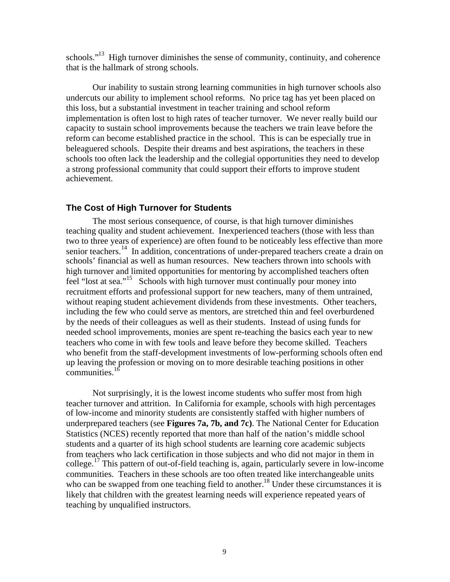schools."<sup>13</sup> High turnover diminishes the sense of community, continuity, and coherence that is the hallmark of strong schools.

Our inability to sustain strong learning communities in high turnover schools also undercuts our ability to implement school reforms. No price tag has yet been placed on this loss, but a substantial investment in teacher training and school reform implementation is often lost to high rates of teacher turnover. We never really build our capacity to sustain school improvements because the teachers we train leave before the reform can become established practice in the school. This is can be especially true in beleaguered schools. Despite their dreams and best aspirations, the teachers in these schools too often lack the leadership and the collegial opportunities they need to develop a strong professional community that could support their efforts to improve student achievement.

#### **The Cost of High Turnover for Students**

The most serious consequence, of course, is that high turnover diminishes teaching quality and student achievement. Inexperienced teachers (those with less than two to three years of experience) are often found to be noticeably less effective than more senior teachers.<sup>14</sup> In addition, concentrations of under-prepared teachers create a drain on schools' financial as well as human resources. New teachers thrown into schools with high turnover and limited opportunities for mentoring by accomplished teachers often feel "lost at sea."<sup>15</sup> Schools with high turnover must continually pour money into recruitment efforts and professional support for new teachers, many of them untrained, without reaping student achievement dividends from these investments. Other teachers, including the few who could serve as mentors, are stretched thin and feel overburdened by the needs of their colleagues as well as their students. Instead of using funds for needed school improvements, monies are spent re-teaching the basics each year to new teachers who come in with few tools and leave before they become skilled. Teachers who benefit from the staff-development investments of low-performing schools often end up leaving the profession or moving on to more desirable teaching positions in other communities. $16$ 

Not surprisingly, it is the lowest income students who suffer most from high teacher turnover and attrition. In California for example, schools with high percentages of low-income and minority students are consistently staffed with higher numbers of underprepared teachers (see **Figures 7a, 7b, and 7c)**. The National Center for Education Statistics (NCES) recently reported that more than half of the nation's middle school students and a quarter of its high school students are learning core academic subjects from teachers who lack certification in those subjects and who did not major in them in college.<sup>17</sup> This pattern of out-of-field teaching is, again, particularly severe in low-income communities. Teachers in these schools are too often treated like interchangeable units who can be swapped from one teaching field to another.<sup>18</sup> Under these circumstances it is likely that children with the greatest learning needs will experience repeated years of teaching by unqualified instructors.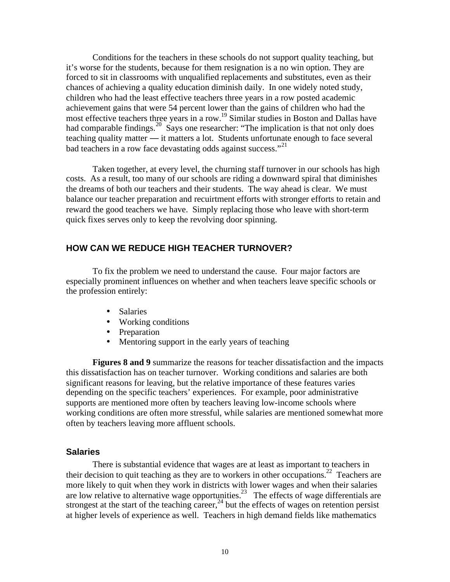Conditions for the teachers in these schools do not support quality teaching, but it's worse for the students, because for them resignation is a no win option. They are forced to sit in classrooms with unqualified replacements and substitutes, even as their chances of achieving a quality education diminish daily. In one widely noted study, children who had the least effective teachers three years in a row posted academic achievement gains that were 54 percent lower than the gains of children who had the most effective teachers three years in a row.<sup>19</sup> Similar studies in Boston and Dallas have had comparable findings.<sup>20</sup> Says one researcher: "The implication is that not only does teaching quality matter — it matters a lot. Students unfortunate enough to face several bad teachers in a row face devastating odds against success."<sup>21</sup>

Taken together, at every level, the churning staff turnover in our schools has high costs. As a result, too many of our schools are riding a downward spiral that diminishes the dreams of both our teachers and their students. The way ahead is clear. We must balance our teacher preparation and recuirtment efforts with stronger efforts to retain and reward the good teachers we have. Simply replacing those who leave with short-term quick fixes serves only to keep the revolving door spinning.

### **HOW CAN WE REDUCE HIGH TEACHER TURNOVER?**

To fix the problem we need to understand the cause. Four major factors are especially prominent influences on whether and when teachers leave specific schools or the profession entirely:

- Salaries
- Working conditions
- Preparation
- Mentoring support in the early years of teaching

**Figures 8 and 9** summarize the reasons for teacher dissatisfaction and the impacts this dissatisfaction has on teacher turnover. Working conditions and salaries are both significant reasons for leaving, but the relative importance of these features varies depending on the specific teachers' experiences. For example, poor administrative supports are mentioned more often by teachers leaving low-income schools where working conditions are often more stressful, while salaries are mentioned somewhat more often by teachers leaving more affluent schools.

#### **Salaries**

There is substantial evidence that wages are at least as important to teachers in their decision to quit teaching as they are to workers in other occupations.<sup>22</sup> Teachers are more likely to quit when they work in districts with lower wages and when their salaries are low relative to alternative wage opportunities.<sup>23</sup> The effects of wage differentials are strongest at the start of the teaching career,  $^{24}$  but the effects of wages on retention persist at higher levels of experience as well. Teachers in high demand fields like mathematics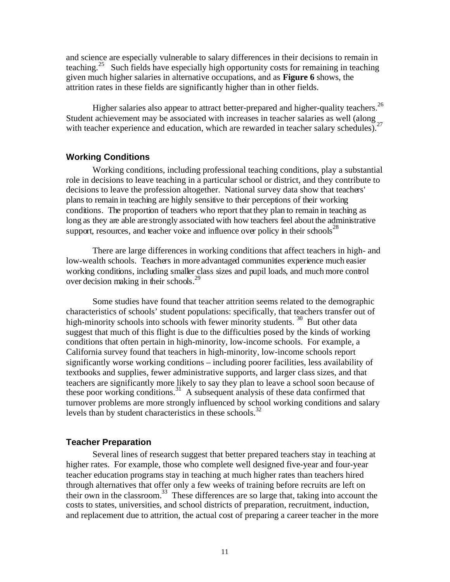and science are especially vulnerable to salary differences in their decisions to remain in teaching.<sup>25</sup> Such fields have especially high opportunity costs for remaining in teaching given much higher salaries in alternative occupations, and as **Figure 6** shows, the attrition rates in these fields are significantly higher than in other fields.

Higher salaries also appear to attract better-prepared and higher-quality teachers.<sup>26</sup> Student achievement may be associated with increases in teacher salaries as well (along  $_{27}$ with teacher experience and education, which are rewarded in teacher salary schedules).<sup>2</sup>

#### **Working Conditions**

Working conditions, including professional teaching conditions, play a substantial role in decisions to leave teaching in a particular school or district, and they contribute to decisions to leave the profession altogether. National survey data show that teachers' plansto remain in teaching are highly sensitive to their perceptions of their working conditions. The proportion of teachers who report that they plan to remain in teaching as long as they are able are strongly associated with how teachers feel aboutthe administrative support, resources, and teacher voice and influence over policy in their schools $^{28}$ 

There are large differences in working conditions that affect teachers in high- and low-wealth schools. Teachers in more advantaged communities experience much easier working conditions, including smaller class sizes and pupil loads, and much more control over decision making in their schools.<sup>29</sup>

Some studies have found that teacher attrition seems related to the demographic characteristics of schools' student populations: specifically, that teachers transfer out of high-minority schools into schools with fewer minority students.<sup>30</sup> But other data suggest that much of this flight is due to the difficulties posed by the kinds of working conditions that often pertain in high-minority, low-income schools. For example, a California survey found that teachers in high-minority, low-income schools report significantly worse working conditions – including poorer facilities, less availability of textbooks and supplies, fewer administrative supports, and larger class sizes, and that teachers are significantly more likely to say they plan to leave a school soon because of these poor working conditions.<sup>31</sup> A subsequent analysis of these data confirmed that turnover problems are more strongly influenced by school working conditions and salary levels than by student characteristics in these schools.<sup>32</sup>

#### **Teacher Preparation**

Several lines of research suggest that better prepared teachers stay in teaching at higher rates. For example, those who complete well designed five-year and four-year teacher education programs stay in teaching at much higher rates than teachers hired through alternatives that offer only a few weeks of training before recruits are left on their own in the classroom.<sup>33</sup> These differences are so large that, taking into account the costs to states, universities, and school districts of preparation, recruitment, induction, and replacement due to attrition, the actual cost of preparing a career teacher in the more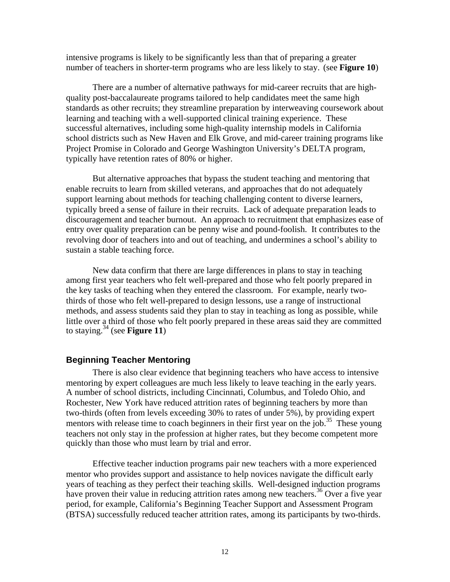intensive programs is likely to be significantly less than that of preparing a greater number of teachers in shorter-term programs who are less likely to stay. (see **Figure 10**)

There are a number of alternative pathways for mid-career recruits that are highquality post-baccalaureate programs tailored to help candidates meet the same high standards as other recruits; they streamline preparation by interweaving coursework about learning and teaching with a well-supported clinical training experience. These successful alternatives, including some high-quality internship models in California school districts such as New Haven and Elk Grove, and mid-career training programs like Project Promise in Colorado and George Washington University's DELTA program, typically have retention rates of 80% or higher.

But alternative approaches that bypass the student teaching and mentoring that enable recruits to learn from skilled veterans, and approaches that do not adequately support learning about methods for teaching challenging content to diverse learners, typically breed a sense of failure in their recruits. Lack of adequate preparation leads to discouragement and teacher burnout. An approach to recruitment that emphasizes ease of entry over quality preparation can be penny wise and pound-foolish. It contributes to the revolving door of teachers into and out of teaching, and undermines a school's ability to sustain a stable teaching force.

New data confirm that there are large differences in plans to stay in teaching among first year teachers who felt well-prepared and those who felt poorly prepared in the key tasks of teaching when they entered the classroom. For example, nearly twothirds of those who felt well-prepared to design lessons, use a range of instructional methods, and assess students said they plan to stay in teaching as long as possible, while little over a third of those who felt poorly prepared in these areas said they are committed to staying.<sup>34</sup> (see **Figure 11**)

#### **Beginning Teacher Mentoring**

There is also clear evidence that beginning teachers who have access to intensive mentoring by expert colleagues are much less likely to leave teaching in the early years. A number of school districts, including Cincinnati, Columbus, and Toledo Ohio, and Rochester, New York have reduced attrition rates of beginning teachers by more than two-thirds (often from levels exceeding 30% to rates of under 5%), by providing expert mentors with release time to coach beginners in their first year on the job.<sup>35</sup> These young teachers not only stay in the profession at higher rates, but they become competent more quickly than those who must learn by trial and error.

Effective teacher induction programs pair new teachers with a more experienced mentor who provides support and assistance to help novices navigate the difficult early years of teaching as they perfect their teaching skills. Well-designed induction programs have proven their value in reducing attrition rates among new teachers.<sup>36</sup> Over a five year period, for example, California's Beginning Teacher Support and Assessment Program (BTSA) successfully reduced teacher attrition rates, among its participants by two-thirds.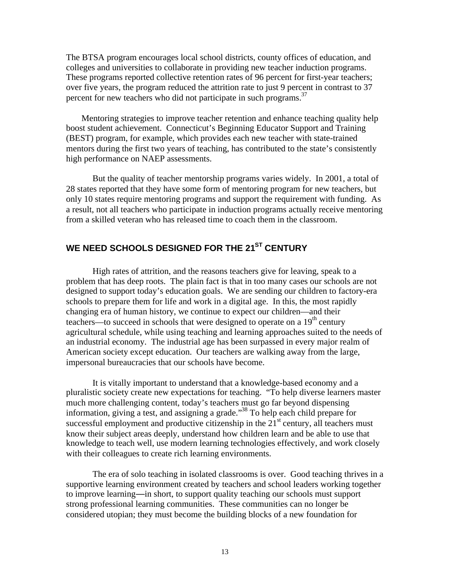The BTSA program encourages local school districts, county offices of education, and colleges and universities to collaborate in providing new teacher induction programs. These programs reported collective retention rates of 96 percent for first-year teachers; over five years, the program reduced the attrition rate to just 9 percent in contrast to 37 percent for new teachers who did not participate in such programs.<sup>37</sup>

Mentoring strategies to improve teacher retention and enhance teaching quality help boost student achievement. Connecticut's Beginning Educator Support and Training (BEST) program, for example, which provides each new teacher with state-trained mentors during the first two years of teaching, has contributed to the state's consistently high performance on NAEP assessments.

But the quality of teacher mentorship programs varies widely. In 2001, a total of 28 states reported that they have some form of mentoring program for new teachers, but only 10 states require mentoring programs and support the requirement with funding. As a result, not all teachers who participate in induction programs actually receive mentoring from a skilled veteran who has released time to coach them in the classroom.

## **WE NEED SCHOOLS DESIGNED FOR THE 21ST CENTURY**

High rates of attrition, and the reasons teachers give for leaving, speak to a problem that has deep roots. The plain fact is that in too many cases our schools are not designed to support today's education goals. We are sending our children to factory-era schools to prepare them for life and work in a digital age. In this, the most rapidly changing era of human history, we continue to expect our children—and their teachers—to succeed in schools that were designed to operate on a  $19<sup>th</sup>$  century agricultural schedule, while using teaching and learning approaches suited to the needs of an industrial economy. The industrial age has been surpassed in every major realm of American society except education. Our teachers are walking away from the large, impersonal bureaucracies that our schools have become.

It is vitally important to understand that a knowledge-based economy and a pluralistic society create new expectations for teaching. "To help diverse learners master much more challenging content, today's teachers must go far beyond dispensing information, giving a test, and assigning a grade."<sup>38</sup> To help each child prepare for successful employment and productive citizenship in the  $21<sup>st</sup>$  century, all teachers must know their subject areas deeply, understand how children learn and be able to use that knowledge to teach well, use modern learning technologies effectively, and work closely with their colleagues to create rich learning environments.

The era of solo teaching in isolated classrooms is over. Good teaching thrives in a supportive learning environment created by teachers and school leaders working together to improve learning—in short, to support quality teaching our schools must support strong professional learning communities. These communities can no longer be considered utopian; they must become the building blocks of a new foundation for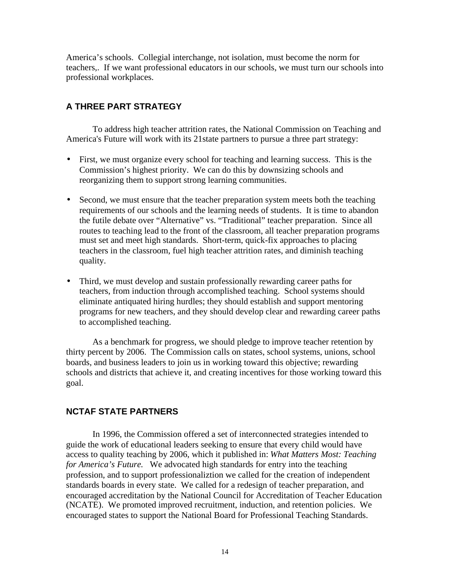America's schools. Collegial interchange, not isolation, must become the norm for teachers,. If we want professional educators in our schools, we must turn our schools into professional workplaces.

## **A THREE PART STRATEGY**

To address high teacher attrition rates, the National Commission on Teaching and America's Future will work with its 21state partners to pursue a three part strategy:

- First, we must organize every school for teaching and learning success. This is the Commission's highest priority. We can do this by downsizing schools and reorganizing them to support strong learning communities.
- Second, we must ensure that the teacher preparation system meets both the teaching requirements of our schools and the learning needs of students. It is time to abandon the futile debate over "Alternative" vs. "Traditional" teacher preparation. Since all routes to teaching lead to the front of the classroom, all teacher preparation programs must set and meet high standards. Short-term, quick-fix approaches to placing teachers in the classroom, fuel high teacher attrition rates, and diminish teaching quality.
- Third, we must develop and sustain professionally rewarding career paths for teachers, from induction through accomplished teaching. School systems should eliminate antiquated hiring hurdles; they should establish and support mentoring programs for new teachers, and they should develop clear and rewarding career paths to accomplished teaching.

As a benchmark for progress, we should pledge to improve teacher retention by thirty percent by 2006. The Commission calls on states, school systems, unions, school boards, and business leaders to join us in working toward this objective; rewarding schools and districts that achieve it, and creating incentives for those working toward this goal.

### **NCTAF STATE PARTNERS**

In 1996, the Commission offered a set of interconnected strategies intended to guide the work of educational leaders seeking to ensure that every child would have access to quality teaching by 2006, which it published in: *What Matters Most: Teaching for America's Future.* We advocated high standards for entry into the teaching profession, and to support professionaliztion we called for the creation of independent standards boards in every state. We called for a redesign of teacher preparation, and encouraged accreditation by the National Council for Accreditation of Teacher Education (NCATE). We promoted improved recruitment, induction, and retention policies. We encouraged states to support the National Board for Professional Teaching Standards.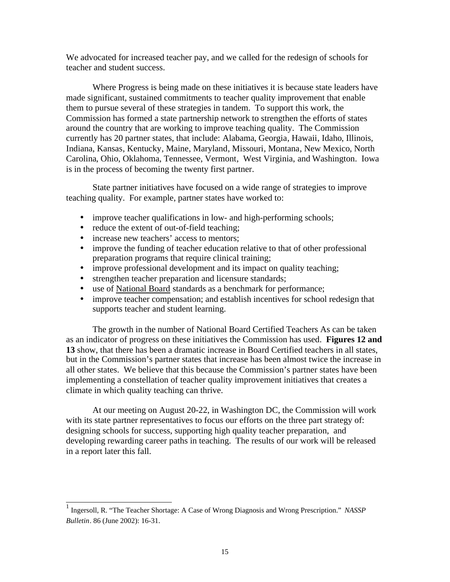We advocated for increased teacher pay, and we called for the redesign of schools for teacher and student success.

Where Progress is being made on these initiatives it is because state leaders have made significant, sustained commitments to teacher quality improvement that enable them to pursue several of these strategies in tandem. To support this work, the Commission has formed a state partnership network to strengthen the efforts of states around the country that are working to improve teaching quality. The Commission currently has 20 partner states, that include: Alabama, Georgia, Hawaii, Idaho, Illinois, Indiana, Kansas, Kentucky, Maine, Maryland, Missouri, Montana, New Mexico, North Carolina, Ohio, Oklahoma, Tennessee, Vermont, West Virginia, and Washington. Iowa is in the process of becoming the twenty first partner.

State partner initiatives have focused on a wide range of strategies to improve teaching quality. For example, partner states have worked to:

- improve teacher qualifications in low- and high-performing schools;
- reduce the extent of out-of-field teaching;
- increase new teachers' access to mentors;

 $\overline{1}$ 

- improve the funding of teacher education relative to that of other professional preparation programs that require clinical training;
- improve professional development and its impact on quality teaching;
- strengthen teacher preparation and licensure standards;
- use of National Board standards as a benchmark for performance;
- improve teacher compensation; and establish incentives for school redesign that supports teacher and student learning.

The growth in the number of National Board Certified Teachers As can be taken as an indicator of progress on these initiatives the Commission has used. **Figures 12 and 13** show, that there has been a dramatic increase in Board Certified teachers in all states, but in the Commission's partner states that increase has been almost twice the increase in all other states. We believe that this because the Commission's partner states have been implementing a constellation of teacher quality improvement initiatives that creates a climate in which quality teaching can thrive.

At our meeting on August 20-22, in Washington DC, the Commission will work with its state partner representatives to focus our efforts on the three part strategy of: designing schools for success, supporting high quality teacher preparation, and developing rewarding career paths in teaching. The results of our work will be released in a report later this fall.

<sup>1</sup> Ingersoll, R. "The Teacher Shortage: A Case of Wrong Diagnosis and Wrong Prescription." *NASSP Bulletin*. 86 (June 2002): 16-31.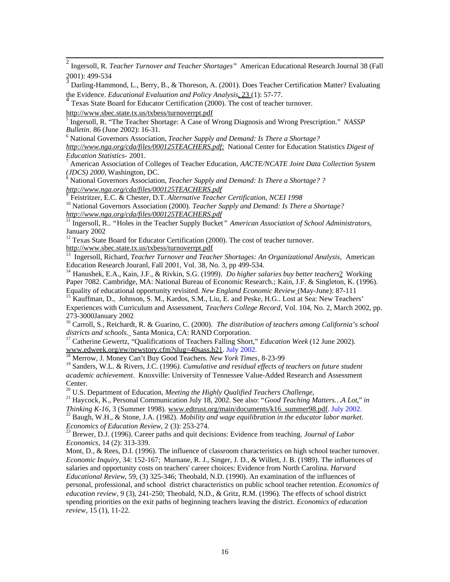2 Ingersoll, R. *Teacher Turnover and Teacher Shortages"* American Educational Research Journal 38 (Fall 2001): 499-534<br><sup>3</sup> Decline Hame

 Darling-Hammond, L., Berry, B., & Thoreson, A. (2001). Does Teacher Certification Matter? Evaluating the Evidence. *Educational Evaluation and Policy Analysis*, 23 (1): 57-77. 4

Texas State Board for Educator Certification (2000). The cost of teacher turnover.

<http://www.sbec.state.tx.us/txbess/turnoverrpt.pdf>

5 Ingersoll, R. "The Teacher Shortage: A Case of Wrong Diagnosis and Wrong Prescription." *NASSP Bulletin*. 86 (June 2002): 16-31.

6 National Governors Association, *Teacher Supply and Demand: Is There a Shortage?*

*<http://www.nga.org/cda/files/000125TEACHERS.pdf;>*National Center for Education Statistics *Digest of Education Statistics-* 2001.

7 American Association of Colleges of Teacher Education, *AACTE/NCATE Joint Data Collection System (JDCS) 2000,* Washington, DC.

8 National Governors Association, *Teacher Supply and Demand: Is There a Shortage? ? <http://www.nga.org/cda/files/000125TEACHERS.pdf>* 9

Feistritzer, E.C. & Chester, D.T. *Alternative Teacher Certification, NCEI 1998*

<sup>10</sup> National Governors Association (2000). *Teacher Supply and Demand: Is There a Shortage? <http://www.nga.org/cda/files/000125TEACHERS.pdf>*

<sup>11</sup> Ingersoll, R.. "Holes in the Teacher Supply Bucket" American Association of School Administrators, January 2002

<sup>12</sup> Texas State Board for Educator Certification (2000). The cost of teacher turnover. <http://www.sbec.state.tx.us/txbess/turnoverrpt.pdf>

13 Ingersoll, Richard, *Teacher Turnover and Teacher Shortages: An Organizational Analysis,* American Education Research Jouranl, Fall 2001, Vol. 38, No. 3, pp 499-534.

<sup>14</sup> Hanushek, E.A., Kain, J.F., & Rivkin, S.G. (1999). *Do higher salaries buy better teachers*? Working Paper 7082. Cambridge, MA: National Bureau of Economic Research.; Kain, J.F. & Singleton, K. (1996). Equality of educational opportunity revisited. *New England Economic Review* (May-June): 87-111

<sup>15</sup> Kauffman, D., Johnson, S. M., Kardos, S.M., Liu, E. and Peske, H.G.. Lost at Sea: New Teachers' Experiences with Curriculum and Assessment*, Teachers College Record*, Vol. 104, No. 2, March 2002, pp. 273-3000January 2002

<sup>16</sup> Carroll, S., Reichardt, R. & Guarino, C. (2000). *The distribution of teachers among California's school districts and schools.* Santa Monica, CA: RAND Corporation.

<sup>17</sup> Catherine Gewertz, "Qualifications of Teachers Falling Short," *Education Week* (12 June 2002). www.edweek.org/ew/newstory.cfm?slug=40sass.h21 . July 2002.

18 Merrow, J. Money Can't Buy Good Teachers*. New York Times*, 8-23-99

<sup>19</sup> Sanders, W.L. & Rivers, J.C. (1996). Cumulative and residual effects of teachers on future student *academic achievement*. Knoxville: University of Tennessee Value-Added Research and Assessment Center.

<sup>20</sup> U.S. Department of Education, *Meeting the Highly Qualified Teachers Challenge*,

21 Haycock, K., Personal Communication July 18, 2002. See also: "*Good Teaching Matters…A Lot*," *in*

*Thinking K-16*, 3 (Summer 1998). www.edtrust.org/main/documents/k16\_summer98.pdf. July 2002. 22 Baugh, W.H., & Stone, J.A. (1982). *Mobility and wage equilibration in the educator labor market*. *Economics of Education Review*, 2 (3): 253-274.

23 Brewer, D.J. (1996). Career paths and quit decisions: Evidence from teaching. *Journal of Labor Economics*, 14 (2): 313-339.

Mont, D., & Rees, D.I. (1996). The influence of classroom characteristics on high school teacher turnover. *Economic Inquiry*, 34: 152-167; Murnane, R. J., Singer, J. D., & Willett, J. B. (1989). The influences of salaries and opportunity costs on teachers' career choices: Evidence from North Carolina. *Harvard Educational Review*, 59, (3) 325-346; Theobald, N.D. (1990). An examination of the influences of personal, professional, and school district characteristics on public school teacher retention. *Economics of education review*, 9 (3), 241-250; Theobald, N.D., & Gritz, R.M. (1996). The effects of school district spending priorities on the exit paths of beginning teachers leaving the district. *Economics of education review*, 15 (1), 11-22.